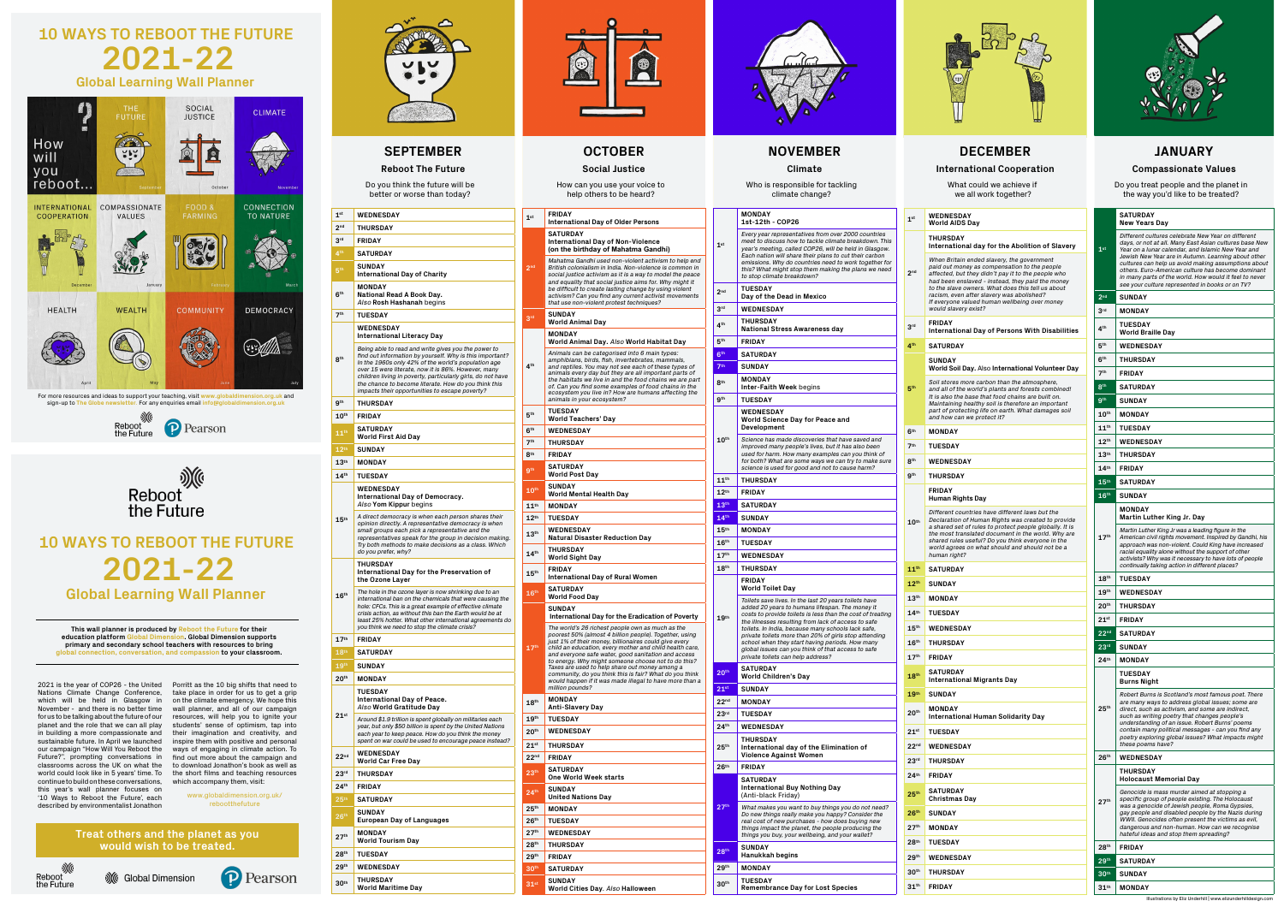2021 is the year of COP26 - the United Porritt as the 10 big shifts that need to Nations Climate Change Conference, take place in order for us to get a grip which will be held in Glasgow in on the climate emergency. We hope this November - and there is no better time wall planner, and all of our campaign for us to be talking about the future of our resources, will help you to ignite your planet and the role that we can all play students' sense of optimism, tap into in building a more compassionate and their imagination and creativity, and sustainable future. In April we launched inspire them with positive and personal our campaign "How Will You Reboot the ways of engaging in climate action. To Future?", prompting conversations in find out more about the campaign and classrooms across the UK on what the to download Jonathon's book as well as world could look like in 5 years' time. To the short films and teaching resources continue to build on these conversations, this year's wall planner focuses on '10 Ways to Reboot the Future', each described by environmentalist Jonathon

which accompany them, visit:

www.globaldimension.org.uk/ rebootthefuture

For more resources and ideas to support your teaching, visit **www.globaldimension.org.uk** and sign-up to **The Globe newsletter**. For any enquiries email **info@globaldimension.org.uk**

**P** Pearson





# **Global Learning Wall Planner 10 WAYS TO REBOOT THE FUTURE 2021-22**







**This wall planner is produced by Reboot the Future for their education platform Global Dimension. Global Dimension supports primary and secondary school teachers with resources to bring global connection, conversation, and compassion to your classroom.**

# **JANUARY**

**Compassionate Values**

Do you treat people and the planet in the way you'd like to be treated?

| $\mathbf{1}^{\text{st}}$ | <b>SATURDAY</b><br><b>New Years Day</b>                                                                                                                                                                                                                                                                                                                                                                                                            |
|--------------------------|----------------------------------------------------------------------------------------------------------------------------------------------------------------------------------------------------------------------------------------------------------------------------------------------------------------------------------------------------------------------------------------------------------------------------------------------------|
|                          | Different cultures celebrate New Year on different<br>days, or not at all. Many East Asian cultures base New<br>Year on a lunar calendar, and Islamic New Year and<br>Jewish New Year are in Autumn. Learning about other<br>cultures can help us avoid making assumptions about<br>others. Euro-American culture has become dominant<br>in many parts of the world. How would it feel to never<br>see your culture represented in books or on TV? |
| 2 <sub>nd</sub>          | <b>SUNDAY</b>                                                                                                                                                                                                                                                                                                                                                                                                                                      |
| 3 <sub>rd</sub>          | <b>MONDAY</b>                                                                                                                                                                                                                                                                                                                                                                                                                                      |
| 4 <sup>th</sup>          | <b>TUESDAY</b><br><b>World Braille Day</b>                                                                                                                                                                                                                                                                                                                                                                                                         |
| 5 <sup>th</sup>          | <b>WEDNESDAY</b>                                                                                                                                                                                                                                                                                                                                                                                                                                   |
| 6 <sup>th</sup>          | <b>THURSDAY</b>                                                                                                                                                                                                                                                                                                                                                                                                                                    |
| 7 <sup>th</sup>          | <b>FRIDAY</b>                                                                                                                                                                                                                                                                                                                                                                                                                                      |
| 8 <sup>th</sup>          | <b>SATURDAY</b>                                                                                                                                                                                                                                                                                                                                                                                                                                    |
| <b>gth</b>               | <b>SUNDAY</b>                                                                                                                                                                                                                                                                                                                                                                                                                                      |
| 10 <sup>th</sup>         | <b>MONDAY</b>                                                                                                                                                                                                                                                                                                                                                                                                                                      |
| $11^{th}$                | <b>TUESDAY</b>                                                                                                                                                                                                                                                                                                                                                                                                                                     |
| 12 <sup>th</sup>         | <b>WEDNESDAY</b>                                                                                                                                                                                                                                                                                                                                                                                                                                   |
| 13 <sup>th</sup>         | <b>THURSDAY</b>                                                                                                                                                                                                                                                                                                                                                                                                                                    |
| 14 <sup>th</sup>         | <b>FRIDAY</b>                                                                                                                                                                                                                                                                                                                                                                                                                                      |
| 15 <sup>th</sup>         | <b>SATURDAY</b>                                                                                                                                                                                                                                                                                                                                                                                                                                    |
| 16 <sup>th</sup>         |                                                                                                                                                                                                                                                                                                                                                                                                                                                    |
|                          | <b>SUNDAY</b>                                                                                                                                                                                                                                                                                                                                                                                                                                      |
|                          | <b>MONDAY</b><br>Martin Luther King Jr. Day                                                                                                                                                                                                                                                                                                                                                                                                        |
| 17 <sup>th</sup>         | Martin Luther King Jr was a leading figure in the<br>American civil rights movement. Inspired by Gandhi, his<br>approach was non-violent. Could King have increased<br>racial equality alone without the support of other<br>activists? Why was it necessary to have lots of people<br>continually taking action in different places?                                                                                                              |
| 18 <sup>th</sup>         | <b>TUESDAY</b>                                                                                                                                                                                                                                                                                                                                                                                                                                     |
| 19 <sup>th</sup>         | <b>WEDNESDAY</b>                                                                                                                                                                                                                                                                                                                                                                                                                                   |
| 20 <sup>th</sup>         | <b>THURSDAY</b>                                                                                                                                                                                                                                                                                                                                                                                                                                    |
| $21^{st}$                | <b>FRIDAY</b>                                                                                                                                                                                                                                                                                                                                                                                                                                      |
| 22 <sup>nd</sup>         | <b>SATURDAY</b>                                                                                                                                                                                                                                                                                                                                                                                                                                    |
| 23 <sup>rd</sup>         | <b>SUNDAY</b>                                                                                                                                                                                                                                                                                                                                                                                                                                      |
|                          |                                                                                                                                                                                                                                                                                                                                                                                                                                                    |
| 24 <sup>th</sup>         | <b>MONDAY</b>                                                                                                                                                                                                                                                                                                                                                                                                                                      |
|                          | <b>TUESDAY</b><br><b>Burns Night</b>                                                                                                                                                                                                                                                                                                                                                                                                               |
| 25 <sup>th</sup>         | Robert Burns is Scotland's most famous poet. There<br>are many ways to address global issues; some are<br>direct, such as activism, and some are indirect,<br>such as writing poetry that changes people's<br>understanding of an issue. Robert Burns' poems<br>contain many political messages - can you find any<br>poetry exploring global issues? What impacts might<br>these poems have?                                                      |
| 26 <sup>th</sup>         | <b>WEDNESDAY</b>                                                                                                                                                                                                                                                                                                                                                                                                                                   |
|                          | <b>THURSDAY</b>                                                                                                                                                                                                                                                                                                                                                                                                                                    |
|                          | <b>Holocaust Memorial Day</b>                                                                                                                                                                                                                                                                                                                                                                                                                      |
| 27 <sup>th</sup>         | Genocide is mass murder aimed at stopping a<br>specific group of people existing. The Holocaust<br>was a genocide of Jewish people, Roma Gypsies,<br>gay people and disabled people by the Nazis during<br>WWII. Genocides often present the victims as evil,<br>dangerous and non-human. How can we recognise<br>hateful ideas and stop them spreading?                                                                                           |
| 28 <sup>th</sup>         | <b>FRIDAY</b>                                                                                                                                                                                                                                                                                                                                                                                                                                      |
| 29 <sup>th</sup>         | <b>SATURDAY</b>                                                                                                                                                                                                                                                                                                                                                                                                                                    |
| 30 <sup>th</sup>         | <b>SUNDAY</b>                                                                                                                                                                                                                                                                                                                                                                                                                                      |
| 31 <sup>th</sup>         | <b>MONDAY</b>                                                                                                                                                                                                                                                                                                                                                                                                                                      |
|                          |                                                                                                                                                                                                                                                                                                                                                                                                                                                    |

# **DECEMBER**

#### **International Cooperation**

What could we achieve if we all work together?

**1st WEDNESDAY World AIDS Day**



|                           | <b>THURSDAY</b><br>International day for the Abolition of Slavery                                                                                                                                                                                                                                                                                                               |
|---------------------------|---------------------------------------------------------------------------------------------------------------------------------------------------------------------------------------------------------------------------------------------------------------------------------------------------------------------------------------------------------------------------------|
| 2 <sub>nd</sub>           | When Britain ended slavery, the government<br>paid out money as compensation to the people<br>affected, but they didn't pay it to the people who<br>had been enslaved - instead, they paid the money<br>to the slave owners. What does this tell us about<br>racism, even after slavery was abolished?<br>If everyone valued human wellbeing over money<br>would slavery exist? |
| 3 <sub>rd</sub>           | <b>FRIDAY</b><br><b>International Day of Persons With Disabilities</b>                                                                                                                                                                                                                                                                                                          |
| 4 <sup>th</sup>           | <b>SATURDAY</b>                                                                                                                                                                                                                                                                                                                                                                 |
| 5 <sup>th</sup>           | <b>SUNDAY</b><br><b>World Soil Day. Also International Volunteer Day</b><br>Soil stores more carbon than the atmosphere,<br>and all of the world's plants and forests combined!<br>It is also the base that food chains are built on.                                                                                                                                           |
|                           | Maintaining healthy soil is therefore an important<br>part of protecting life on earth. What damages soil<br>and how can we protect it?                                                                                                                                                                                                                                         |
| 6 <sup>th</sup>           | <b>MONDAY</b>                                                                                                                                                                                                                                                                                                                                                                   |
| 7 <sup>th</sup>           | <b>TUESDAY</b>                                                                                                                                                                                                                                                                                                                                                                  |
| 8 <sup>th</sup>           | <b>WEDNESDAY</b>                                                                                                                                                                                                                                                                                                                                                                |
| 9 <sup>th</sup>           | <b>THURSDAY</b>                                                                                                                                                                                                                                                                                                                                                                 |
|                           | <b>FRIDAY</b><br><b>Human Rights Day</b>                                                                                                                                                                                                                                                                                                                                        |
| $10^{\text{th}}$          | Different countries have different laws but the<br>Declaration of Human Rights was created to provide<br>a shared set of rules to protect people globally. It is<br>the most translated document in the world. Why are<br>shared rules useful? Do you think everyone in the<br>world agrees on what should and should not be a<br>human right?                                  |
| $\mathbf{11}^{\text{th}}$ | <b>SATURDAY</b>                                                                                                                                                                                                                                                                                                                                                                 |
| $12^{\text{th}}$          | <b>SUNDAY</b>                                                                                                                                                                                                                                                                                                                                                                   |
| 13 <sup>th</sup>          | <b>MONDAY</b>                                                                                                                                                                                                                                                                                                                                                                   |
|                           | <b>TUESDAY</b>                                                                                                                                                                                                                                                                                                                                                                  |
| $14^{\text{th}}$          |                                                                                                                                                                                                                                                                                                                                                                                 |
| 15 <sup>th</sup>          | <b>WEDNESDAY</b>                                                                                                                                                                                                                                                                                                                                                                |
| ${\bf 16^{\text{th}}}$    | <b>THURSDAY</b>                                                                                                                                                                                                                                                                                                                                                                 |
| 17 <sup>th</sup>          | <b>FRIDAY</b>                                                                                                                                                                                                                                                                                                                                                                   |
| 18 <sup>th</sup>          | <b>SATURDAY</b><br><b>International Migrants Day</b>                                                                                                                                                                                                                                                                                                                            |
| 19 <sup>th</sup>          | <b>SUNDAY</b>                                                                                                                                                                                                                                                                                                                                                                   |
| 20 <sup>th</sup>          | <b>MONDAY</b><br><b>International Human Solidarity Day</b>                                                                                                                                                                                                                                                                                                                      |
| $21^{\rm st}$             | <b>TUESDAY</b>                                                                                                                                                                                                                                                                                                                                                                  |
| 22 <sup>nd</sup>          | <b>WEDNESDAY</b>                                                                                                                                                                                                                                                                                                                                                                |
| 23 <sup>rd</sup>          | <b>THURSDAY</b>                                                                                                                                                                                                                                                                                                                                                                 |
| 24 <sup>th</sup>          | <b>FRIDAY</b>                                                                                                                                                                                                                                                                                                                                                                   |
| 25 <sup>th</sup>          | <b>SATURDAY</b><br><b>Christmas Day</b>                                                                                                                                                                                                                                                                                                                                         |
| 26 <sup>th</sup>          | <b>SUNDAY</b>                                                                                                                                                                                                                                                                                                                                                                   |
| 27 <sup>th</sup>          | <b>MONDAY</b>                                                                                                                                                                                                                                                                                                                                                                   |
| 28 <sup>th</sup>          | <b>TUESDAY</b>                                                                                                                                                                                                                                                                                                                                                                  |
| 29 <sup>th</sup>          | <b>WEDNESDAY</b>                                                                                                                                                                                                                                                                                                                                                                |

### **OCTOBER Social Justice**

How can you use your voice to

|                  | help others to be heard?                                                                                                                                                                                                                                                                                                                                                                                                                                                                                                                |
|------------------|-----------------------------------------------------------------------------------------------------------------------------------------------------------------------------------------------------------------------------------------------------------------------------------------------------------------------------------------------------------------------------------------------------------------------------------------------------------------------------------------------------------------------------------------|
| 1 <sup>st</sup>  | <b>FRIDAY</b>                                                                                                                                                                                                                                                                                                                                                                                                                                                                                                                           |
|                  | <b>International Day of Older Persons</b>                                                                                                                                                                                                                                                                                                                                                                                                                                                                                               |
|                  | <b>SATURDAY</b><br><b>International Day of Non-Violence</b><br>(on the birthday of Mahatma Gandhi)                                                                                                                                                                                                                                                                                                                                                                                                                                      |
| 2 <sub>nd</sub>  | Mahatma Gandhi used non-violent activism to help end<br>British colonialism in India. Non-violence is common in<br>social justice activism as it is a way to model the peace<br>and equality that social justice aims for. Why might it<br>be difficult to create lasting change by using violent<br>activism? Can you find any current activist movements<br>that use non-violent protest techniques?                                                                                                                                  |
| 3 <sup>rd</sup>  | <b>SUNDAY</b><br><b>World Animal Day</b>                                                                                                                                                                                                                                                                                                                                                                                                                                                                                                |
|                  | <b>MONDAY</b><br>World Animal Day. Also World Habitat Day                                                                                                                                                                                                                                                                                                                                                                                                                                                                               |
| 4 <sup>th</sup>  | Animals can be categorised into 6 main types:<br>amphibians, birds, fish, invertebrates, mammals,<br>and reptiles. You may not see each of these types of<br>animals every day but they are all important parts of<br>the habitats we live in and the food chains we are part<br>of. Can you find some examples of food chains in the<br>ecosystem you live in? How are humans affecting the<br>animals in your ecosystem?                                                                                                              |
| 5 <sup>th</sup>  | <b>TUESDAY</b><br><b>World Teachers' Day</b>                                                                                                                                                                                                                                                                                                                                                                                                                                                                                            |
| 6 <sup>th</sup>  | <b>WEDNESDAY</b>                                                                                                                                                                                                                                                                                                                                                                                                                                                                                                                        |
| 7 <sup>th</sup>  | <b>THURSDAY</b>                                                                                                                                                                                                                                                                                                                                                                                                                                                                                                                         |
| 8 <sup>th</sup>  | <b>FRIDAY</b>                                                                                                                                                                                                                                                                                                                                                                                                                                                                                                                           |
| <b>gth</b>       | <b>SATURDAY</b><br><b>World Post Day</b>                                                                                                                                                                                                                                                                                                                                                                                                                                                                                                |
| $10^{\text{th}}$ | <b>SUNDAY</b><br><b>World Mental Health Day</b>                                                                                                                                                                                                                                                                                                                                                                                                                                                                                         |
| 11 <sup>th</sup> | <b>MONDAY</b>                                                                                                                                                                                                                                                                                                                                                                                                                                                                                                                           |
| 12 <sup>th</sup> | <b>TUESDAY</b>                                                                                                                                                                                                                                                                                                                                                                                                                                                                                                                          |
| 13 <sup>th</sup> | <b>WEDNESDAY</b><br><b>Natural Disaster Reduction Day</b>                                                                                                                                                                                                                                                                                                                                                                                                                                                                               |
| 14 <sup>th</sup> | <b>THURSDAY</b><br><b>World Sight Day</b>                                                                                                                                                                                                                                                                                                                                                                                                                                                                                               |
| 15 <sup>th</sup> | <b>FRIDAY</b><br><b>International Day of Rural Women</b>                                                                                                                                                                                                                                                                                                                                                                                                                                                                                |
| 16 <sup>th</sup> | <b>SATURDAY</b><br><b>World Food Day</b>                                                                                                                                                                                                                                                                                                                                                                                                                                                                                                |
|                  | <b>SUNDAY</b><br><b>International Day for the Eradication of Poverty</b>                                                                                                                                                                                                                                                                                                                                                                                                                                                                |
| 17 <sup>th</sup> | The world's 26 richest people own as much as the<br>poorest 50% (almost 4 billion people). Together, using<br>just 1% of their money, billionaires could give every<br>child an education, every mother and child health care,<br>and everyone safe water, good sanitation and access<br>to energy. Why might someone choose not to do this?<br>Taxes are used to help share out money among a<br>community, do you think this is fair? What do you think<br>would happen if it was made illegal to have more than a<br>million pounds? |
| 18 <sup>th</sup> | <b>MONDAY</b><br><b>Anti-Slavery Day</b>                                                                                                                                                                                                                                                                                                                                                                                                                                                                                                |
| 19 <sup>th</sup> | <b>TUESDAY</b>                                                                                                                                                                                                                                                                                                                                                                                                                                                                                                                          |
| 20 <sup>th</sup> | <b>WEDNESDAY</b>                                                                                                                                                                                                                                                                                                                                                                                                                                                                                                                        |
| 21 <sup>st</sup> | <b>THURSDAY</b>                                                                                                                                                                                                                                                                                                                                                                                                                                                                                                                         |
| 22 <sup>nd</sup> | <b>FRIDAY</b>                                                                                                                                                                                                                                                                                                                                                                                                                                                                                                                           |
| 23 <sup>th</sup> | <b>SATURDAY</b><br><b>One World Week starts</b>                                                                                                                                                                                                                                                                                                                                                                                                                                                                                         |
| 24 <sup>th</sup> | <b>SUNDAY</b><br><b>United Nations Day</b>                                                                                                                                                                                                                                                                                                                                                                                                                                                                                              |
| 25 <sup>th</sup> | <b>MONDAY</b>                                                                                                                                                                                                                                                                                                                                                                                                                                                                                                                           |
| 26 <sup>th</sup> | <b>TUESDAY</b>                                                                                                                                                                                                                                                                                                                                                                                                                                                                                                                          |
| 27 <sup>th</sup> | <b>WEDNESDAY</b>                                                                                                                                                                                                                                                                                                                                                                                                                                                                                                                        |
| 28 <sup>th</sup> | <b>THURSDAY</b>                                                                                                                                                                                                                                                                                                                                                                                                                                                                                                                         |
| 29 <sup>th</sup> | <b>FRIDAY</b>                                                                                                                                                                                                                                                                                                                                                                                                                                                                                                                           |
| 30 <sup>th</sup> | <b>SATURDAY</b>                                                                                                                                                                                                                                                                                                                                                                                                                                                                                                                         |
| $31$ st          | <b>SUNDAY</b><br><b>World Cities Day. Also Halloween</b>                                                                                                                                                                                                                                                                                                                                                                                                                                                                                |



# **SEPTEMBER**

**Reboot The Future**

Do you think the future will be better or worse than today?

|                  | <b>MONDAY</b><br>1st-12th - COP26                                                                                                                                                                                                | 1 <sup>st</sup>  | <b>WEDNE</b><br><b>World A</b>                |
|------------------|----------------------------------------------------------------------------------------------------------------------------------------------------------------------------------------------------------------------------------|------------------|-----------------------------------------------|
| 1 <sup>st</sup>  | Every year representatives from over 2000 countries<br>meet to discuss how to tackle climate breakdown. This<br>year's meeting, called COP26, will be held in Glasgow.<br>Each nation will share their plans to cut their carbon |                  | <b>THURSD</b><br><b>Internat</b>              |
|                  | emissions. Why do countries need to work together for<br>this? What might stop them making the plans we need<br>to stop climate breakdown?                                                                                       | 2 <sub>nd</sub>  | When Bri<br>paid out<br>affected.<br>had been |
| 2 <sub>nd</sub>  | <b>TUESDAY</b><br>Day of the Dead in Mexico                                                                                                                                                                                      |                  | to the sla<br>racism, e<br>If everyor         |
| 3 <sup>rd</sup>  | <b>WEDNESDAY</b>                                                                                                                                                                                                                 |                  | would sla                                     |
| 4 <sup>th</sup>  | <b>THURSDAY</b><br><b>National Stress Awareness day</b>                                                                                                                                                                          | 3 <sup>rd</sup>  | <b>FRIDAY</b><br><b>Internal</b>              |
| 5 <sup>th</sup>  | <b>FRIDAY</b>                                                                                                                                                                                                                    | 4 <sup>th</sup>  | <b>SATURD</b>                                 |
| 6 <sup>th</sup>  | <b>SATURDAY</b>                                                                                                                                                                                                                  |                  | <b>SUNDAY</b>                                 |
| 7 <sup>th</sup>  | <b>SUNDAY</b>                                                                                                                                                                                                                    |                  | <b>World So</b>                               |
| 8 <sup>th</sup>  | <b>MONDAY</b><br><b>Inter-Faith Week begins</b>                                                                                                                                                                                  | 5 <sup>th</sup>  | Soil store<br>and all of                      |
| 9 <sup>th</sup>  | <b>TUESDAY</b>                                                                                                                                                                                                                   |                  | It is also<br>Maintain                        |
|                  | <b>WEDNESDAY</b><br><b>World Science Day for Peace and</b>                                                                                                                                                                       |                  | part of pi<br>and how                         |
|                  | <b>Development</b>                                                                                                                                                                                                               | 6 <sup>th</sup>  | <b>MONDA</b>                                  |
| 10 <sup>th</sup> | Science has made discoveries that have saved and<br>improved many people's lives, but it has also been                                                                                                                           | 7 <sup>th</sup>  | <b>TUESDA</b>                                 |
|                  | used for harm. How many examples can you think of<br>for both? What are some ways we can try to make sure<br>science is used for good and not to cause harm?                                                                     | 8 <sup>th</sup>  | <b>WEDNE</b>                                  |
| 11 <sup>th</sup> | <b>THURSDAY</b>                                                                                                                                                                                                                  | 9 <sup>th</sup>  | <b>THURSD</b>                                 |
| 12 <sup>th</sup> | <b>FRIDAY</b>                                                                                                                                                                                                                    |                  | <b>FRIDAY</b>                                 |
| 13 <sup>th</sup> | <b>SATURDAY</b>                                                                                                                                                                                                                  |                  | Human I                                       |
| 14 <sup>th</sup> | <b>SUNDAY</b>                                                                                                                                                                                                                    | 10 <sup>th</sup> | <b>Different</b><br>Declarati                 |
| 15 <sup>th</sup> | <b>MONDAY</b>                                                                                                                                                                                                                    |                  | a shared<br>the most                          |
| 16 <sup>th</sup> | <b>TUESDAY</b>                                                                                                                                                                                                                   |                  | shared ru<br>world agi                        |
| 17 <sup>th</sup> | <b>WEDNESDAY</b>                                                                                                                                                                                                                 |                  | human ri                                      |
| 18 <sup>th</sup> | <b>THURSDAY</b>                                                                                                                                                                                                                  | $11^{th}$        | <b>SATURD</b>                                 |
|                  | <b>FRIDAY</b><br><b>World Toilet Day</b>                                                                                                                                                                                         | 12 <sup>th</sup> | <b>SUNDAY</b>                                 |
|                  | Toilets save lives. In the last 20 years toilets have<br>added 20 years to humans lifespan. The money it                                                                                                                         | 13 <sup>th</sup> | <b>MONDA</b>                                  |
| 19 <sup>th</sup> | costs to provide toilets is less than the cost of treating                                                                                                                                                                       | 14 <sup>th</sup> | <b>TUESDA</b>                                 |
|                  | the illnesses resulting from lack of access to safe<br>toilets. In India, because many schools lack safe,                                                                                                                        | 15 <sup>th</sup> | <b>WEDNE</b>                                  |
|                  | private toilets more than 20% of girls stop attending<br>school when they start having periods. How many<br>global issues can you think of that access to safe                                                                   | 16 <sup>th</sup> | <b>THURSD</b>                                 |
|                  | private toilets can help address?                                                                                                                                                                                                | 17 <sup>th</sup> | <b>FRIDAY</b>                                 |
| 20 <sup>th</sup> | <b>SATURDAY</b><br><b>World Children's Day</b>                                                                                                                                                                                   | 18 <sup>th</sup> | <b>SATURD</b><br>Internal                     |
| 21 <sup>st</sup> | <b>SUNDAY</b>                                                                                                                                                                                                                    | 19 <sup>th</sup> | <b>SUNDAY</b>                                 |
| 22 <sup>nd</sup> | <b>MONDAY</b>                                                                                                                                                                                                                    |                  | <b>MONDA</b>                                  |
| 23 <sup>rd</sup> | <b>TUESDAY</b>                                                                                                                                                                                                                   | 20 <sup>th</sup> | <b>Internal</b>                               |
| 24 <sup>th</sup> | <b>WEDNESDAY</b>                                                                                                                                                                                                                 | $21^{st}$        | <b>TUESDA</b>                                 |
| 25 <sup>th</sup> | <b>THURSDAY</b><br>International day of the Elimination of<br><b>Violence Against Women</b>                                                                                                                                      | 22 <sup>nd</sup> | <b>WEDNE</b>                                  |
| 26 <sup>th</sup> | <b>FRIDAY</b>                                                                                                                                                                                                                    | 23 <sup>rd</sup> | <b>THURSD</b>                                 |
|                  | <b>SATURDAY</b>                                                                                                                                                                                                                  | 24 <sup>th</sup> | <b>FRIDAY</b>                                 |
|                  | <b>International Buy Nothing Day</b><br>(Anti-black Friday)                                                                                                                                                                      | 25 <sup>th</sup> | <b>SATURD</b><br>Christm                      |
| 27 <sup>th</sup> | What makes you want to buy things you do not need?<br>Do new things really make you happy? Consider the                                                                                                                          | 26 <sup>th</sup> | <b>SUNDAY</b>                                 |
|                  | real cost of new purchases - how does buying new<br>things impact the planet, the people producing the<br>things you buy, your wellbeing, and your wallet?                                                                       | 27 <sup>th</sup> | <b>MONDA</b>                                  |
|                  | <b>SUNDAY</b>                                                                                                                                                                                                                    | 28 <sup>th</sup> | <b>TUESDA</b>                                 |
| 28 <sup>th</sup> | Hanukkah begins                                                                                                                                                                                                                  | 29 <sup>th</sup> | <b>WEDNE</b>                                  |
| 29 <sup>th</sup> | <b>MONDAY</b>                                                                                                                                                                                                                    | 30 <sup>th</sup> | <b>THURSD</b>                                 |
| 30 <sup>th</sup> | <b>TUESDAY</b><br><b>Remembrance Day for Lost Species</b>                                                                                                                                                                        | 31 <sup>th</sup> | <b>FRIDAY</b>                                 |



| $\mathbf{1}^{\text{st}}$ | <b>WEDNESDAY</b>                                                                                                                                                                                                                                                                                                                                                                                       |
|--------------------------|--------------------------------------------------------------------------------------------------------------------------------------------------------------------------------------------------------------------------------------------------------------------------------------------------------------------------------------------------------------------------------------------------------|
| 2 <sub>nd</sub>          | <b>THURSDAY</b>                                                                                                                                                                                                                                                                                                                                                                                        |
| 3 <sub>rd</sub>          | <b>FRIDAY</b>                                                                                                                                                                                                                                                                                                                                                                                          |
| 4 <sup>th</sup>          | <b>SATURDAY</b>                                                                                                                                                                                                                                                                                                                                                                                        |
| 5 <sup>th</sup>          | <b>SUNDAY</b><br><b>International Day of Charity</b>                                                                                                                                                                                                                                                                                                                                                   |
| 6 <sup>th</sup>          | <b>MONDAY</b><br><b>National Read A Book Day.</b><br>Also Rosh Hashanah begins                                                                                                                                                                                                                                                                                                                         |
| 7 <sup>th</sup>          | <b>TUESDAY</b>                                                                                                                                                                                                                                                                                                                                                                                         |
| 8 <sup>th</sup>          | <b>WEDNESDAY</b><br><b>International Literacy Day</b>                                                                                                                                                                                                                                                                                                                                                  |
|                          | Being able to read and write gives you the power to<br>find out information by yourself. Why is this important?<br>In the 1960s only 42% of the world's population age<br>over 15 were literate, now it is 86%. However, many<br>children living in poverty, particularly girls, do not have<br>the chance to become literate. How do you think this<br>impacts their opportunities to escape poverty? |
| g <sub>th</sub>          | <b>THURSDAY</b>                                                                                                                                                                                                                                                                                                                                                                                        |
| 10 <sup>th</sup>         | <b>FRIDAY</b>                                                                                                                                                                                                                                                                                                                                                                                          |
| $11^{th}$                | <b>SATURDAY</b><br><b>World First Aid Day</b>                                                                                                                                                                                                                                                                                                                                                          |
| $12^{\text{th}}$         | <b>SUNDAY</b>                                                                                                                                                                                                                                                                                                                                                                                          |
| 13 <sup>th</sup>         | <b>MONDAY</b>                                                                                                                                                                                                                                                                                                                                                                                          |
| 14 <sup>th</sup>         | <b>TUESDAY</b>                                                                                                                                                                                                                                                                                                                                                                                         |
|                          | <b>WEDNESDAY</b><br><b>International Day of Democracy.</b><br>Also Yom Kippur begins                                                                                                                                                                                                                                                                                                                   |
| 15 <sup>th</sup>         | A direct democracy is when each person shares their<br>opinion directly. A representative democracy is when<br>small groups each pick a representative and the<br>representatives speak for the group in decision making.<br>Try both methods to make decisions as a class. Which<br>do you prefer, why?                                                                                               |
|                          | <b>THURSDAY</b><br>International Day for the Preservation of<br>the Ozone Layer                                                                                                                                                                                                                                                                                                                        |
| $16^{\text{th}}$         | The hole in the ozone layer is now shrinking due to an<br>international ban on the chemicals that were causing the<br>hole: CFCs. This is a great example of effective climate<br>crisis action, as without this ban the Earth would be at<br>least 25% hotter. What other international agreements do<br>you think we need to stop the climate crisis?                                                |
| 17 <sup>th</sup>         | <b>FRIDAY</b>                                                                                                                                                                                                                                                                                                                                                                                          |
| 18 <sup>th</sup>         | <b>SATURDAY</b>                                                                                                                                                                                                                                                                                                                                                                                        |
| 19 <sup>th</sup>         | <b>SUNDAY</b>                                                                                                                                                                                                                                                                                                                                                                                          |
| 20 <sup>th</sup>         | <b>MONDAY</b>                                                                                                                                                                                                                                                                                                                                                                                          |
|                          | <b>TUESDAY</b><br>International Day of Peace.<br><b>Also World Gratitude Day</b>                                                                                                                                                                                                                                                                                                                       |
| $21^{st}$                | Around \$1.9 trillion is spent globally on militaries each<br>year, but only \$50 billion is spent by the United Nations<br>each year to keep peace. How do you think the money<br>spent on war could be used to encourage peace instead?                                                                                                                                                              |
| 22 <sup>nd</sup>         | <b>WEDNESDAY</b><br><b>World Car Free Day</b>                                                                                                                                                                                                                                                                                                                                                          |
| 23 <sup>rd</sup>         | <b>THURSDAY</b>                                                                                                                                                                                                                                                                                                                                                                                        |
| 24 <sup>th</sup>         | <b>FRIDAY</b>                                                                                                                                                                                                                                                                                                                                                                                          |
| 25 <sup>th</sup>         | <b>SATURDAY</b>                                                                                                                                                                                                                                                                                                                                                                                        |
| 26 <sup>th</sup>         | <b>SUNDAY</b><br>European Day of Languages                                                                                                                                                                                                                                                                                                                                                             |
| 27 <sup>th</sup>         | <b>MONDAY</b><br><b>World Tourism Day</b>                                                                                                                                                                                                                                                                                                                                                              |
| 28 <sup>th</sup>         | <b>TUESDAY</b>                                                                                                                                                                                                                                                                                                                                                                                         |
| 29 <sup>th</sup>         | <b>WEDNESDAY</b>                                                                                                                                                                                                                                                                                                                                                                                       |
| 30 <sup>th</sup>         | <b>THURSDAY</b><br><b>World Maritime Day</b>                                                                                                                                                                                                                                                                                                                                                           |









**NOVEMBER**

**Climate**

Who is responsible for tackling climate change?

# **Global Learning Wall Planner 10 WAYS TO REBOOT THE FUTURE 2021-22**

Illustrations by Eliz Underhill | www.elizunderhilldesign.com